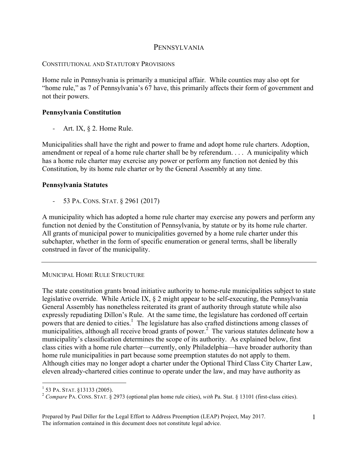# PENNSYLVANIA

## CONSTITUTIONAL AND STATUTORY PROVISIONS

Home rule in Pennsylvania is primarily a municipal affair. While counties may also opt for "home rule," as 7 of Pennsylvania's 67 have, this primarily affects their form of government and not their powers.

## **Pennsylvania Constitution**

Art. IX, § 2. Home Rule.

Municipalities shall have the right and power to frame and adopt home rule charters. Adoption, amendment or repeal of a home rule charter shall be by referendum. . . . A municipality which has a home rule charter may exercise any power or perform any function not denied by this Constitution, by its home rule charter or by the General Assembly at any time.

## **Pennsylvania Statutes**

- 53 PA. CONS. STAT. § 2961 (2017)

A municipality which has adopted a home rule charter may exercise any powers and perform any function not denied by the Constitution of Pennsylvania, by statute or by its home rule charter. All grants of municipal power to municipalities governed by a home rule charter under this subchapter, whether in the form of specific enumeration or general terms, shall be liberally construed in favor of the municipality.

MUNICIPAL HOME RULE STRUCTURE

The state constitution grants broad initiative authority to home-rule municipalities subject to state legislative override. While Article IX, § 2 might appear to be self-executing, the Pennsylvania General Assembly has nonetheless reiterated its grant of authority through statute while also expressly repudiating Dillon's Rule. At the same time, the legislature has cordoned off certain powers that are denied to cities.<sup>1</sup> The legislature has also crafted distinctions among classes of municipalities, although all receive broad grants of power.<sup>2</sup> The various statutes delineate how a municipality's classification determines the scope of its authority. As explained below, first class cities with a home rule charter—currently, only Philadelphia—have broader authority than home rule municipalities in part because some preemption statutes do not apply to them. Although cities may no longer adopt a charter under the Optional Third Class City Charter Law, eleven already-chartered cities continue to operate under the law, and may have authority as

 $\frac{1}{1}$ 

<sup>&</sup>lt;sup>1</sup> 53 PA. STAT. §13133 (2005).<br><sup>2</sup> *Compare* PA. CONS. STAT. § 2973 (optional plan home rule cities), *with* Pa. Stat. § 13101 (first-class cities).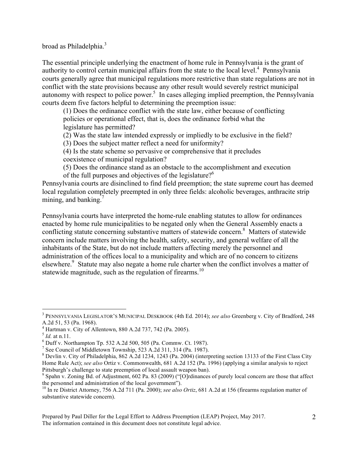broad as Philadelphia.<sup>3</sup>

The essential principle underlying the enactment of home rule in Pennsylvania is the grant of authority to control certain municipal affairs from the state to the local level.<sup>4</sup> Pennsylvania courts generally agree that municipal regulations more restrictive than state regulations are not in conflict with the state provisions because any other result would severely restrict municipal autonomy with respect to police power.<sup>5</sup> In cases alleging implied preemption, the Pennsylvania courts deem five factors helpful to determining the preemption issue:

(1) Does the ordinance conflict with the state law, either because of conflicting policies or operational effect, that is, does the ordinance forbid what the legislature has permitted?

(2) Was the state law intended expressly or impliedly to be exclusive in the field?

(3) Does the subject matter reflect a need for uniformity?

(4) Is the state scheme so pervasive or comprehensive that it precludes coexistence of municipal regulation?

(5) Does the ordinance stand as an obstacle to the accomplishment and execution of the full purposes and objectives of the legislature?<sup>6</sup>

Pennsylvania courts are disinclined to find field preemption; the state supreme court has deemed local regulation completely preempted in only three fields: alcoholic beverages, anthracite strip mining, and banking. $\frac{1}{2}$ 

Pennsylvania courts have interpreted the home-rule enabling statutes to allow for ordinances enacted by home rule municipalities to be negated only when the General Assembly enacts a conflicting statute concerning substantive matters of statewide concern.<sup>8</sup> Matters of statewide concern include matters involving the health, safety, security, and general welfare of all the inhabitants of the State, but do not include matters affecting merely the personnel and administration of the offices local to a municipality and which are of no concern to citizens elsewhere.<sup>9</sup> Statute may also negate a home rule charter when the conflict involves a matter of statewide magnitude, such as the regulation of firearms.<sup>10</sup>

<sup>3</sup> PENNSYLVANIA LEGISLATOR'S MUNICIPAL DESKBOOK (4th Ed. 2014); *see also* Greenberg v. City of Bradford, 248 A.2d 51, 53 (Pa. 1968).

<sup>&</sup>lt;sup>4</sup> Hartman v. City of Allentown, 880 A.2d 737, 742 (Pa. 2005).  $^{5}$  *Id.* at n.11.

 $6$  Duff v. Northampton Tp. 532 A.2d 500, 505 (Pa. Commw. Ct. 1987).

<sup>&</sup>lt;sup>7</sup> See Council of Middletown Township, 523 A.2d 311, 314 (Pa. 1987).

 $8$  Devlin v. City of Philadelphia, 862 A.2d 1234, 1243 (Pa. 2004) (interpreting section 13133 of the First Class City Home Rule Act); *see also* Ortiz v. Commonwealth, 681 A.2d 152 (Pa. 1996) (applying a similar analysis to reject Pittsburgh's challenge to state preemption of local assault weapon ban).

<sup>&</sup>lt;sup>9</sup> Spahn v. Zoning Bd. of Adjustment, 602 Pa. 83 (2009) ("[O]rdinances of purely local concern are those that affect the personnel and administration of the local government").

<sup>&</sup>lt;sup>10</sup> In re District Attorney, 756 A.2d 711 (Pa. 2000); *see also Ortiz*, 681 A.2d at 156 (firearms regulation matter of substantive statewide concern).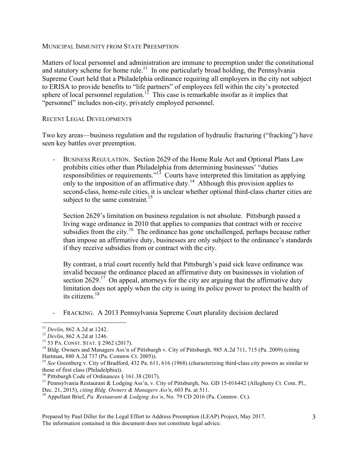#### MUNICIPAL IMMUNITY FROM STATE PREEMPTION

Matters of local personnel and administration are immune to preemption under the constitutional and statutory scheme for home rule.<sup>11</sup> In one particularly broad holding, the Pennsylvania Supreme Court held that a Philadelphia ordinance requiring all employers in the city not subject to ERISA to provide benefits to "life partners" of employees fell within the city's protected sphere of local personnel regulation.<sup>12</sup> This case is remarkable insofar as it implies that "personnel" includes non-city, privately employed personnel.

#### RECENT LEGAL DEVELOPMENTS

Two key areas—business regulation and the regulation of hydraulic fracturing ("fracking") have seen key battles over preemption.

- BUSINESS REGULATION. Section 2629 of the Home Rule Act and Optional Plans Law prohibits cities other than Philadelphia from determining businesses' "duties responsibilities or requirements."13 Courts have interpreted this limitation as applying only to the imposition of an affirmative duty.<sup>14</sup> Although this provision applies to second-class, home-rule cities, it is unclear whether optional third-class charter cities are subject to the same constraint.<sup>15</sup>

Section 2629's limitation on business regulation is not absolute. Pittsburgh passed a living wage ordinance in 2010 that applies to companies that contract with or receive subsidies from the city.<sup>16</sup> The ordinance has gone unchallenged, perhaps because rather than impose an affirmative duty, businesses are only subject to the ordinance's standards if they receive subsidies from or contract with the city.

By contrast, a trial court recently held that Pittsburgh's paid sick leave ordinance was invalid because the ordinance placed an affirmative duty on businesses in violation of section 2629.<sup>17</sup> On appeal, attorneys for the city are arguing that the affirmative duty limitation does not apply when the city is using its police power to protect the health of its citizens. 18

FRACKING. A 2013 Pennsylvania Supreme Court plurality decision declared

Prepared by Paul Diller for the Legal Effort to Address Preemption (LEAP) Project, May 2017. The information contained in this document does not constitute legal advice.

<sup>&</sup>lt;sup>11</sup> *Devlin*, 862 A.2d at 1242.<br><sup>12</sup> *Devlin*, 862 A.2d at 1246.<br><sup>13</sup> 53 PA. CONST. STAT. § 2962 (2017).<br><sup>14</sup> Bldg. Owners and Managers Ass'n of Pittsburgh v. City of Pittsburgh, 985 A.2d 711, 715 (Pa. 2009) (citing Hartm

<sup>&</sup>lt;sup>15</sup> See Greenberg v. City of Bradford, 432 Pa. 611, 616 (1968) (characterizing third-class city powers as similar to those of first class (Philadelphia)).<br><sup>16</sup> Pittsburgh Code of Ordinances § 161.38 (2017).

<sup>&</sup>lt;sup>17</sup> Pennsylvania Restaurant & Lodging Ass'n, v. City of Pittsburgh, No. GD 15-016442 (Allegheny Ct. Com. Pl., Dec. 21, 2015), *citing Bldg. Owners & Managers Ass'n*, 603 Pa. at 511.<br><sup>18</sup> Appellant Brief, *Pa. Restaurant & Lodging Ass'n*, No. 79 CD 2016 (Pa. Commw. Ct.).